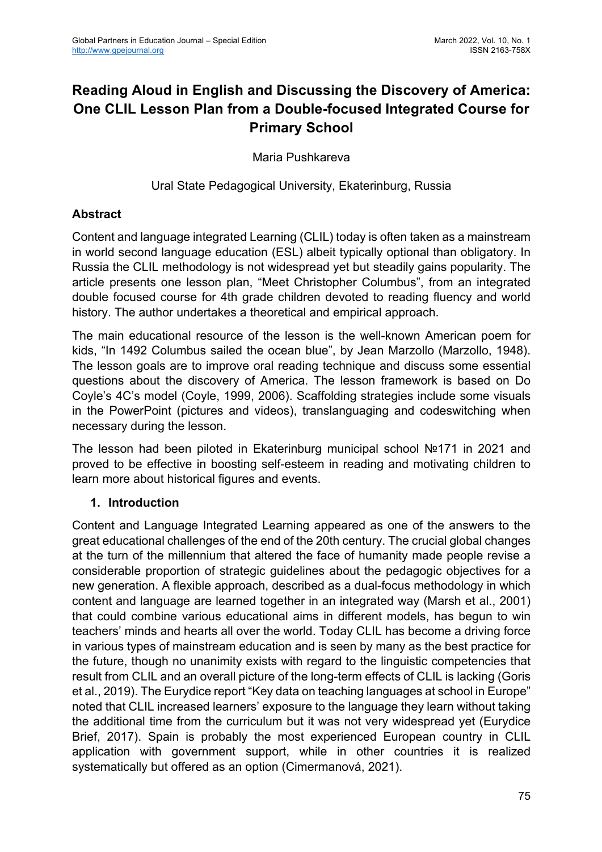# **Reading Aloud in English and Discussing the Discovery of America: One CLIL Lesson Plan from a Double-focused Integrated Course for Primary School**

Maria Pushkareva

Ural State Pedagogical University, Ekaterinburg, Russia

## **Abstract**

Content and language integrated Learning (CLIL) today is often taken as a mainstream in world second language education (ESL) albeit typically optional than obligatory. In Russia the CLIL methodology is not widespread yet but steadily gains popularity. The article presents one lesson plan, "Meet Christopher Columbus", from an integrated double focused course for 4th grade children devoted to reading fluency and world history. The author undertakes a theoretical and empirical approach.

The main educational resource of the lesson is the well-known American poem for kids, "In 1492 Columbus sailed the ocean blue", by Jean Marzollo (Marzollo, 1948). The lesson goals are to improve oral reading technique and discuss some essential questions about the discovery of America. The lesson framework is based on Do Coyle's 4C's model (Coyle, 1999, 2006). Scaffolding strategies include some visuals in the PowerPoint (pictures and videos), translanguaging and codeswitching when necessary during the lesson.

The lesson had been piloted in Ekaterinburg municipal school №171 in 2021 and proved to be effective in boosting self-esteem in reading and motivating children to learn more about historical figures and events.

## **1. Introduction**

Content and Language Integrated Learning appeared as one of the answers to the great educational challenges of the end of the 20th century. The crucial global changes at the turn of the millennium that altered the face of humanity made people revise a considerable proportion of strategic guidelines about the pedagogic objectives for a new generation. A flexible approach, described as a dual-focus methodology in which content and language are learned together in an integrated way (Marsh et al., 2001) that could combine various educational aims in different models, has begun to win teachers' minds and hearts all over the world. Today CLIL has become a driving force in various types of mainstream education and is seen by many as the best practice for the future, though no unanimity exists with regard to the linguistic competencies that result from CLIL and an overall picture of the long-term effects of CLIL is lacking (Goris et al., 2019). The Eurydice report "Key data on teaching languages at school in Europe" noted that CLIL increased learners' exposure to the language they learn without taking the additional time from the curriculum but it was not very widespread yet (Eurydice Brief, 2017). Spain is probably the most experienced European country in CLIL application with government support, while in other countries it is realized systematically but offered as an option (Cimermanová, 2021).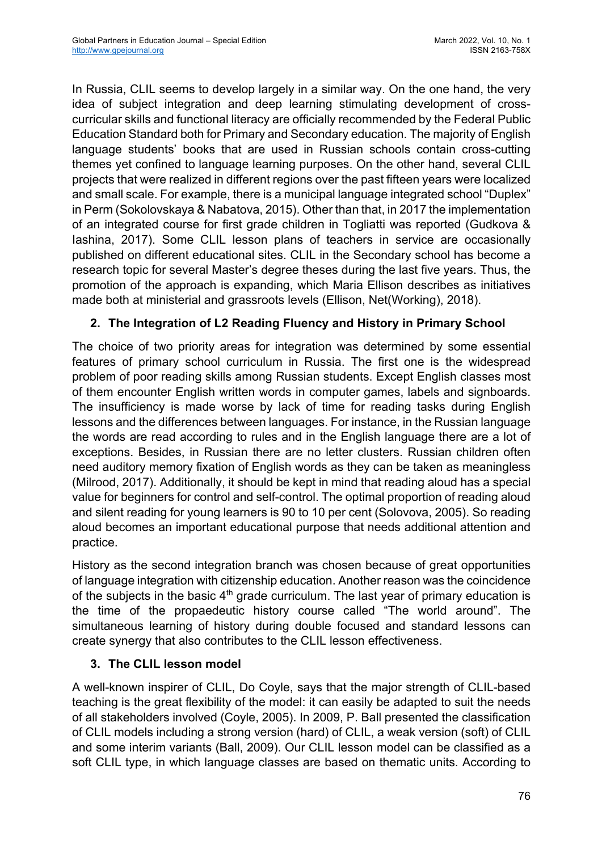In Russia, CLIL seems to develop largely in a similar way. On the one hand, the very idea of subject integration and deep learning stimulating development of crosscurricular skills and functional literacy are officially recommended by the Federal Public Education Standard both for Primary and Secondary education. The majority of English language students' books that are used in Russian schools contain cross-cutting themes yet confined to language learning purposes. On the other hand, several CLIL projects that were realized in different regions over the past fifteen years were localized and small scale. For example, there is a municipal language integrated school "Duplex" in Perm (Sokolovskaya & Nabatova, 2015). Other than that, in 2017 the implementation of an integrated course for first grade children in Togliatti was reported (Gudkova & Iashina, 2017). Some CLIL lesson plans of teachers in service are occasionally published on different educational sites. CLIL in the Secondary school has become a research topic for several Master's degree theses during the last five years. Thus, the promotion of the approach is expanding, which Maria Ellison describes as initiatives made both at ministerial and grassroots levels (Ellison, Net(Working), 2018).

# **2. The Integration of L2 Reading Fluency and History in Primary School**

The choice of two priority areas for integration was determined by some essential features of primary school curriculum in Russia. The first one is the widespread problem of poor reading skills among Russian students. Except English classes most of them encounter English written words in computer games, labels and signboards. The insufficiency is made worse by lack of time for reading tasks during English lessons and the differences between languages. For instance, in the Russian language the words are read according to rules and in the English language there are a lot of exceptions. Besides, in Russian there are no letter clusters. Russian children often need auditory memory fixation of English words as they can be taken as meaningless (Milrood, 2017). Additionally, it should be kept in mind that reading aloud has a special value for beginners for control and self-control. The optimal proportion of reading aloud and silent reading for young learners is 90 to 10 per cent (Solovova, 2005). So reading aloud becomes an important educational purpose that needs additional attention and practice.

History as the second integration branch was chosen because of great opportunities of language integration with citizenship education. Another reason was the coincidence of the subjects in the basic  $4<sup>th</sup>$  grade curriculum. The last year of primary education is the time of the propaedeutic history course called "The world around". The simultaneous learning of history during double focused and standard lessons can create synergy that also contributes to the CLIL lesson effectiveness.

## **3. The CLIL lesson model**

A well-known inspirer of CLIL, Do Coyle, says that the major strength of CLIL-based teaching is the great flexibility of the model: it can easily be adapted to suit the needs of all stakeholders involved (Coyle, 2005). In 2009, Р. Ball presented the classification of CLIL models including a strong version (hard) of CLIL, a weak version (soft) of CLIL and some interim variants (Ball, 2009). Our CLIL lesson model can be classified as a soft CLIL type, in which language classes are based on thematic units. According to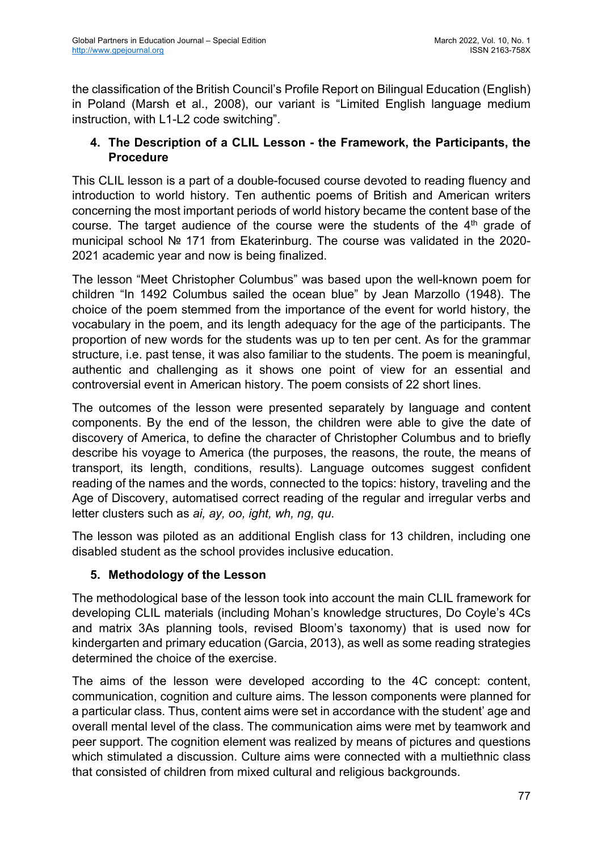the classification of the British Council's Profile Report on Bilingual Education (English) in Poland (Marsh et al., 2008), our variant is "Limited English language medium instruction, with L1-L2 code switching".

## **4. The Description of a CLIL Lesson - the Framework, the Participants, the Procedure**

This CLIL lesson is a part of a double-focused course devoted to reading fluency and introduction to world history. Ten authentic poems of British and American writers concerning the most important periods of world history became the content base of the course. The target audience of the course were the students of the  $4<sup>th</sup>$  grade of municipal school № 171 from Ekaterinburg. The course was validated in the 2020- 2021 academic year and now is being finalized.

The lesson "Meet Christopher Columbus" was based upon the well-known poem for children "In 1492 Columbus sailed the ocean blue" by Jean Marzollo (1948). The choice of the poem stemmed from the importance of the event for world history, the vocabulary in the poem, and its length adequacy for the age of the participants. The proportion of new words for the students was up to ten per cent. As for the grammar structure, i.e. past tense, it was also familiar to the students. The poem is meaningful, authentic and challenging as it shows one point of view for an essential and controversial event in American history. The poem consists of 22 short lines.

The outcomes of the lesson were presented separately by language and content components. By the end of the lesson, the children were able to give the date of discovery of America, to define the character of Christopher Columbus and to briefly describe his voyage to America (the purposes, the reasons, the route, the means of transport, its length, conditions, results). Language outcomes suggest confident reading of the names and the words, connected to the topics: history, traveling and the Age of Discovery, automatised correct reading of the regular and irregular verbs and letter clusters such as *ai, ay, oo, ight, wh, ng, qu*.

The lesson was piloted as an additional English class for 13 children, including one disabled student as the school provides inclusive education.

# **5. Methodology of the Lesson**

The methodological base of the lesson took into account the main CLIL framework for developing CLIL materials (including Mohan's knowledge structures, Do Coyle's 4Cs and matrix 3As planning tools, revised Bloom's taxonomy) that is used now for kindergarten and primary education (Garcia, 2013), as well as some reading strategies determined the choice of the exercise.

The aims of the lesson were developed according to the 4C concept: content, communication, cognition and culture aims. The lesson components were planned for a particular class. Thus, content aims were set in accordance with the student' age and overall mental level of the class. The communication aims were met by teamwork and peer support. The cognition element was realized by means of pictures and questions which stimulated a discussion. Culture aims were connected with a multiethnic class that consisted of children from mixed cultural and religious backgrounds.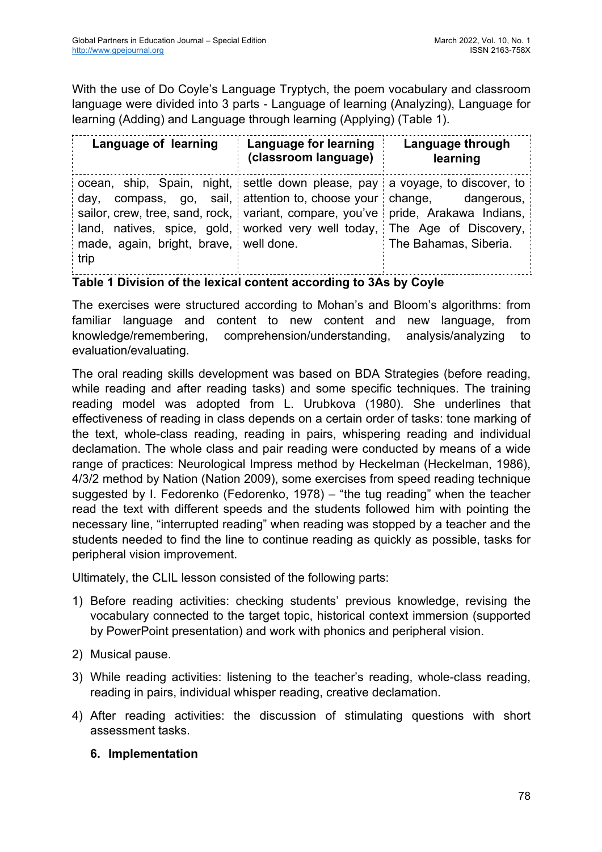With the use of Do Coyle's Language Tryptych, the poem vocabulary and classroom language were divided into 3 parts - Language of learning (Analyzing), Language for learning (Adding) and Language through learning (Applying) (Table 1).

| Language of learning                                                                                                                                                                                                                                                                                    | Language for learning<br>(classroom language)        | Language through<br>learning        |
|---------------------------------------------------------------------------------------------------------------------------------------------------------------------------------------------------------------------------------------------------------------------------------------------------------|------------------------------------------------------|-------------------------------------|
| ocean, ship, Spain, night, settle down please, pay a voyage, to discover, to<br>day,<br>sailor, crew, tree, sand, rock, variant, compare, you've pride, Arakawa Indians,<br>land, natives, spice, gold, worked very well today, The Age of Discovery,<br>made, again, bright, brave, well done.<br>trip | compass, go, sail, attention to, choose your change, | dangerous,<br>The Bahamas, Siberia. |

**Table 1 Division of the lexical content according to 3As by Coyle**

The exercises were structured according to Mohan's and Bloom's algorithms: from familiar language and content to new content and new language, from knowledge/remembering, comprehension/understanding, analysis/analyzing to evaluation/evaluating.

The oral reading skills development was based on BDA Strategies (before reading, while reading and after reading tasks) and some specific techniques. The training reading model was adopted from L. Urubkova (1980). She underlines that effectiveness of reading in class depends on a certain order of tasks: tone marking of the text, whole-class reading, reading in pairs, whispering reading and individual declamation. The whole class and pair reading were conducted by means of a wide range of practices: Neurological Impress method by Heckelman (Heckelman, 1986), 4/3/2 method by Nation (Nation 2009), some exercises from speed reading technique suggested by I. Fedorenko (Fedorenko, 1978) – "the tug reading" when the teacher read the text with different speeds and the students followed him with pointing the necessary line, "interrupted reading" when reading was stopped by a teacher and the students needed to find the line to continue reading as quickly as possible, tasks for peripheral vision improvement.

Ultimately, the CLIL lesson consisted of the following parts:

- 1) Before reading activities: checking students' previous knowledge, revising the vocabulary connected to the target topic, historical context immersion (supported by PowerPoint presentation) and work with phonics and peripheral vision.
- 2) Musical pause.
- 3) While reading activities: listening to the teacher's reading, whole-class reading, reading in pairs, individual whisper reading, creative declamation.
- 4) After reading activities: the discussion of stimulating questions with short assessment tasks.

## **6. Implementation**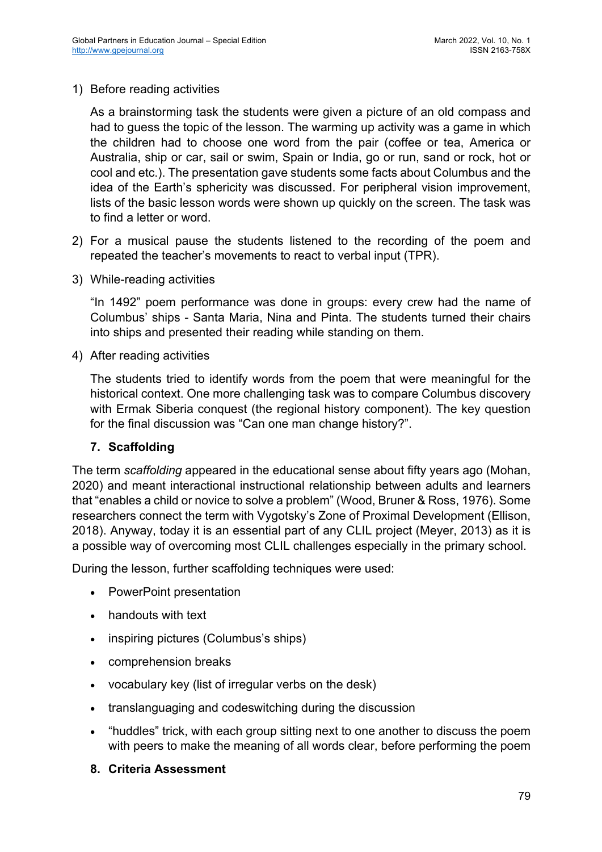1) Before reading activities

As a brainstorming task the students were given a picture of an old compass and had to guess the topic of the lesson. The warming up activity was a game in which the children had to choose one word from the pair (coffee or tea, America or Australia, ship or car, sail or swim, Spain or India, go or run, sand or rock, hot or cool and etc.). The presentation gave students some facts about Columbus and the idea of the Earth's sphericity was discussed. For peripheral vision improvement, lists of the basic lesson words were shown up quickly on the screen. The task was to find a letter or word.

- 2) For a musical pause the students listened to the recording of the poem and repeated the teacher's movements to react to verbal input (TPR).
- 3) While-reading activities

"In 1492" poem performance was done in groups: every crew had the name of Columbus' ships - Santa Maria, Nina and Pinta. The students turned their chairs into ships and presented their reading while standing on them.

4) After reading activities

The students tried to identify words from the poem that were meaningful for the historical context. One more challenging task was to compare Columbus discovery with Ermak Siberia conquest (the regional history component). The key question for the final discussion was "Can one man change history?".

## **7. Scaffolding**

The term *scaffolding* appeared in the educational sense about fifty years ago (Mohan, 2020) and meant interactional instructional relationship between adults and learners that "enables a child or novice to solve a problem" (Wood, Bruner & Ross, 1976). Some researchers connect the term with Vygotsky's Zone of Proximal Development (Ellison, 2018). Anyway, today it is an essential part of any CLIL project (Meyer, 2013) as it is a possible way of overcoming most CLIL challenges especially in the primary school.

During the lesson, further scaffolding techniques were used:

- PowerPoint presentation
- handouts with text
- inspiring pictures (Columbus's ships)
- comprehension breaks
- vocabulary key (list of irregular verbs on the desk)
- translanguaging and codeswitching during the discussion
- "huddles" trick, with each group sitting next to one another to discuss the poem with peers to make the meaning of all words clear, before performing the poem

#### **8. Criteria Assessment**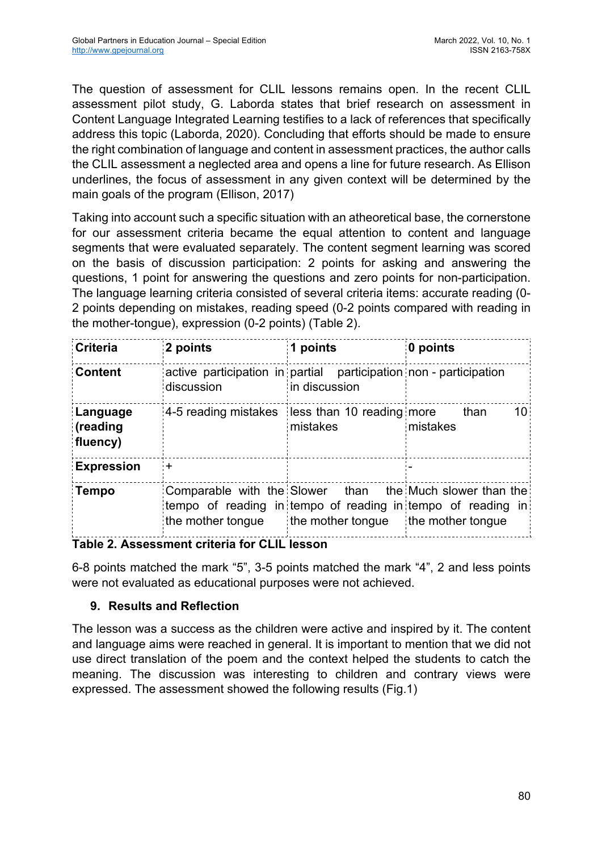The question of assessment for CLIL lessons remains open. In the recent CLIL assessment pilot study, G. Laborda states that brief research on assessment in Content Language Integrated Learning testifies to a lack of references that specifically address this topic (Laborda, 2020). Concluding that efforts should be made to ensure the right combination of language and content in assessment practices, the author calls the CLIL assessment a neglected area and opens a line for future research. As Ellison underlines, the focus of assessment in any given context will be determined by the main goals of the program (Ellison, 2017)

Taking into account such a specific situation with an atheoretical base, the cornerstone for our assessment criteria became the equal attention to content and language segments that were evaluated separately. The content segment learning was scored on the basis of discussion participation: 2 points for asking and answering the questions, 1 point for answering the questions and zero points for non-participation. The language learning criteria consisted of several criteria items: accurate reading (0- 2 points depending on mistakes, reading speed (0-2 points compared with reading in the mother-tongue), expression (0-2 points) (Table 2).

| <b>Criteria</b>                  | 2 points                                                                        | points            | 0 points                                                                                                          |
|----------------------------------|---------------------------------------------------------------------------------|-------------------|-------------------------------------------------------------------------------------------------------------------|
| <b>Content</b>                   | active participation in partial participation non - participation<br>discussion | in discussion     |                                                                                                                   |
| Language<br>(reading<br>fluency) | 4-5 reading mistakes less than 10 reading more                                  | mistakes          | than<br>10 <sup>1</sup><br>mistakes                                                                               |
| <b>Expression</b>                |                                                                                 |                   |                                                                                                                   |
| Tempo                            | Comparable with the Slower<br>the mother tongue                                 | the mother tongue | than the Much slower than the<br>tempo of reading in tempo of reading in tempo of reading in<br>the mother tongue |

## **Table 2. Assessment criteria for CLIL lesson**

6-8 points matched the mark "5", 3-5 points matched the mark "4", 2 and less points were not evaluated as educational purposes were not achieved.

# **9. Results and Reflection**

The lesson was a success as the children were active and inspired by it. The content and language aims were reached in general. It is important to mention that we did not use direct translation of the poem and the context helped the students to catch the meaning. The discussion was interesting to children and contrary views were expressed. The assessment showed the following results (Fig.1)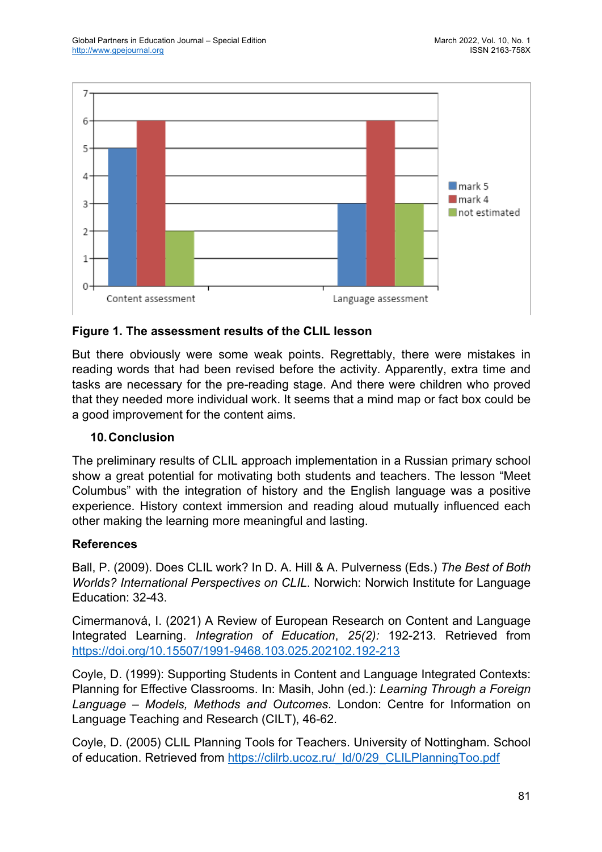

# **Figure 1. The assessment results of the CLIL lesson**

But there obviously were some weak points. Regrettably, there were mistakes in reading words that had been revised before the activity. Apparently, extra time and tasks are necessary for the pre-reading stage. And there were children who proved that they needed more individual work. It seems that a mind map or fact box could be a good improvement for the content aims.

#### **10.Conclusion**

The preliminary results of CLIL approach implementation in a Russian primary school show a great potential for motivating both students and teachers. The lesson "Meet Columbus" with the integration of history and the English language was a positive experience. History context immersion and reading aloud mutually influenced each other making the learning more meaningful and lasting.

## **References**

Ball, P. (2009). Does CLIL work? In D. A. Hill & A. Pulverness (Eds.) *The Best of Both Worlds? International Perspectives on CLIL*. Norwich: Norwich Institute for Language Education: 32-43.

Cimermanová, I. (2021) A Review of European Research on Content and Language Integrated Learning. *Integration of Education*, *25(2):* 192-213. Retrieved from https://doi.org/10.15507/1991-9468.103.025.202102.192-213

Coyle, D. (1999): Supporting Students in Content and Language Integrated Contexts: Planning for Effective Classrooms. In: Masih, John (ed.): *Learning Through a Foreign Language – Models, Methods and Outcomes*. London: Centre for Information on Language Teaching and Research (CILT), 46-62.

Coyle, D. (2005) CLIL Planning Tools for Teachers. University of Nottingham. School of education. Retrieved from https://clilrb.ucoz.ru/\_ld/0/29\_CLILPlanningToo.pdf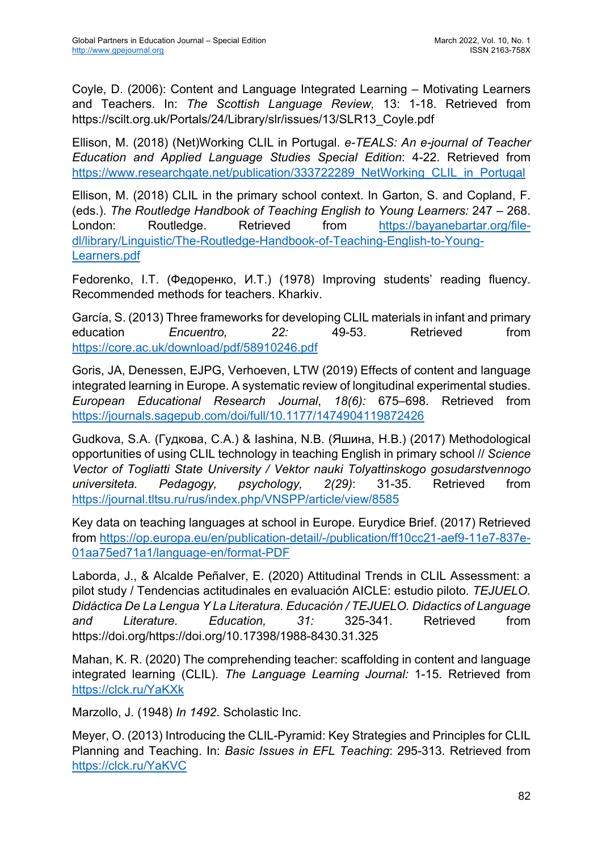Coyle, D. (2006): Content and Language Integrated Learning – Motivating Learners and Teachers. In: *The Scottish Language Review,* 13: 1-18. Retrieved from https://scilt.org.uk/Portals/24/Library/slr/issues/13/SLR13\_Coyle.pdf

Ellison, M. (2018) (Net)Working CLIL in Portugal. *e-TEALS: An e-journal of Teacher Education and Applied Language Studies Special Edition*: 4-22. Retrieved from https://www.researchgate.net/publication/333722289\_NetWorking\_CLIL\_in\_Portugal

Ellison, M. (2018) CLIL in the primary school context. In Garton, S. and Copland, F. (eds.). *The Routledge Handbook of Teaching English to Young Learners:* 247 – 268. London: Routledge. Retrieved from https://bayanebartar.org/filedl/library/Linguistic/The-Routledge-Handbook-of-Teaching-English-to-Young-Learners.pdf

Fedorenko, I.T. (Федоренко, И.Т.) (1978) Improving students' reading fluency. Recommended methods for teachers. Kharkiv.

García, S. (2013) Three frameworks for developing CLIL materials in infant and primary education *Encuentro, 22:* 49-53. Retrieved from https://core.ac.uk/download/pdf/58910246.pdf

Goris, JA, Denessen, EJPG, Verhoeven, LTW (2019) Effects of content and language integrated learning in Europe. A systematic review of longitudinal experimental studies. *European Educational Research Journal*, *18(6):* 675–698. Retrieved from https://journals.sagepub.com/doi/full/10.1177/1474904119872426

Gudkova, S.A. (Гудкова, С.А.) & Iashina, N.B. (Яшина, Н.В.) (2017) Methodological opportunities of using CLIL technology in teaching English in primary school // *Science Vector of Togliatti State University / Vektor nauki Tolyattinskogo gosudarstvennogo universiteta. Pedagogy, psychology, 2(29)*: 31-35. Retrieved from https://journal.tltsu.ru/rus/index.php/VNSPP/article/view/8585

Key data on teaching languages at school in Europe. Eurydice Brief. (2017) Retrieved from https://op.europa.eu/en/publication-detail/-/publication/ff10cc21-aef9-11e7-837e-01aa75ed71a1/language-en/format-PDF

Laborda, J., & Alcalde Peñalver, E. (2020) Attitudinal Trends in CLIL Assessment: a pilot study / Tendencias actitudinales en evaluación AICLE: estudio piloto*. TEJUELO. Didáctica De La Lengua Y La Literatura. Educación / TEJUELO. Didactics of Language and Literature. Education, 31:* 325-341. Retrieved from https://doi.org/https://doi.org/10.17398/1988-8430.31.325

Mahan, K. R. (2020) The comprehending teacher: scaffolding in content and language integrated learning (CLIL). *The Language Learning Journal:* 1-15. Retrieved from https://clck.ru/YaKXk

Marzollo, J. (1948) *In 1492*. Scholastic Inc.

Meyer, O. (2013) Introducing the CLIL-Pyramid: Key Strategies and Principles for CLIL Planning and Teaching. In: *Basic Issues in EFL Teaching*: 295-313. Retrieved from https://clck.ru/YaKVC